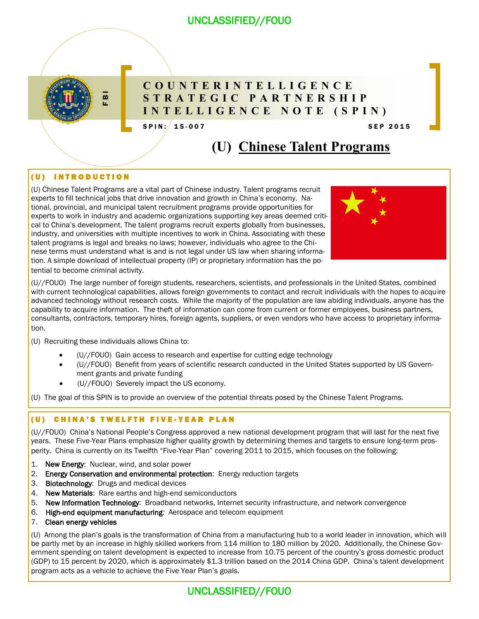

## **C O U N T E R I N T E L L I G E N C E S T R A T E G I C P A R T N E R S H I P I N T E L L I G E N C E N O T E ( S P I N )**

 $SPIN: / 15 - 007$  SPIN:  $/ 15 - 007$ 

# **(U) Chinese Talent Programs**

## (U) INTRODUCTION

**ET THE STATE GIC PART INTO THE STATE STATE STATE STATE STATE STATE STATE INTO SPIN (U) Chinese (U) SPIN (SPIN (U) Chinese (U) Chinese (U) Chinese (U) Chinese (U) Chinese (U) Chinese (U) Chinese (Condition (U) Chinese (Con** (U) Chinese Talent Programs are a vital part of Chinese industry. Talent programs recruit experts to fill technical jobs that drive innovation and growth in China's economy. National, provincial, and municipal talent recruitment programs provide opportunities for experts to work in industry and academic organizations supporting key areas deemed critical to China's development. The talent programs recruit experts globally from businesses, industry, and universities with multiple incentives to work in China. Associating with these talent programs is legal and breaks no laws; however, individuals who agree to the Chinese terms must understand what is and is not legal under US law when sharing information. A simple download of intellectual property (IP) or proprietary information has the potential to become criminal activity.



(U//FOUO) The large number of foreign students, researchers, scientists, and professionals in the United States, combined with current technological capabilities, allows foreign governments to contact and recruit individuals with the hopes to acquire advanced technology without research costs. While the majority of the population are law abiding individuals, anyone has the capability to acquire information. The theft of information can come from current or former employees, business partners, consultants, contractors, temporary hires, foreign agents, suppliers, or even vendors who have access to proprietary information.

(U) Recruiting these individuals allows China to:

- (U//FOUO) Gain access to research and expertise for cutting edge technology
- (U//FOUO) Benefit from years of scientific research conducted in the United States supported by US Government grants and private funding
- (U//FOUO) Severely impact the US economy.

(U) The goal of this SPIN is to provide an overview of the potential threats posed by the Chinese Talent Programs.

## (U) CHINA'S TWELFTH FIVE-YEAR PLAN

(U//FOUO) China's National People's Congress approved a new national development program that will last for the next five years. These Five-Year Plans emphasize higher quality growth by determining themes and targets to ensure long-term prosperity. China is currently on its Twelfth "Five-Year Plan" covering 2011 to 2015, which focuses on the following:

- 1. New Energy: Nuclear, wind, and solar power
- 2. Energy Conservation and environmental protection: Energy reduction targets
- 3. Biotechnology: Drugs and medical devices
- 4. New Materials: Rare earths and high-end semiconductors
- 5. New Information Technology: Broadband networks, Internet security infrastructure, and network convergence
- 6. High-end equipment manufacturing: Aerospace and telecom equipment
- 7. Clean energy vehicles

(U) Among the plan's goals is the transformation of China from a manufacturing hub to a world leader in innovation, which will be partly met by an increase in highly skilled workers from 114 million to 180 million by 2020. Additionally, the Chinese Government spending on talent development is expected to increase from 10.75 percent of the country's gross domestic product (GDP) to 15 percent by 2020, which is approximately \$1.3 trillion based on the 2014 China GDP. China's talent development program acts as a vehicle to achieve the Five Year Plan's goals.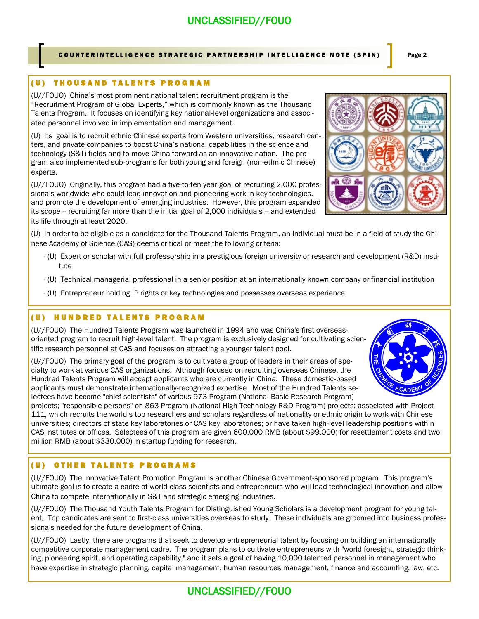### COUNTERINTELLIGENCE STRATEGIC PARTNERSHIP INTELLIGENCE NOTE (SPIN) Page 2

### (U) THOUSAND TALENTS PROGRAM

(U//FOUO) China's most prominent national talent recruitment program is the "Recruitment Program of Global Experts," which is commonly known as the Thousand Talents Program. It focuses on identifying key national-level organizations and associated personnel involved in implementation and management.

(U) Its goal is to recruit ethnic Chinese experts from Western universities, research centers, and private companies to boost China's national capabilities in the science and technology (S&T) fields and to move China forward as an innovative nation. The program also implemented sub-programs for both young and foreign (non-ethnic Chinese) experts.

(U//FOUO) Originally, this program had a five-to-ten year goal of recruiting 2,000 professionals worldwide who could lead innovation and pioneering work in key technologies, and promote the development of emerging industries. However, this program expanded its scope -- recruiting far more than the initial goal of 2,000 individuals -- and extended its life through at least 2020.

(U) In order to be eligible as a candidate for the Thousand Talents Program, an individual must be in a field of study the Chinese Academy of Science (CAS) deems critical or meet the following criteria:

- · (U) Expert or scholar with full professorship in a prestigious foreign university or research and development (R&D) institute
- · (U) Technical managerial professional in a senior position at an internationally known company or financial institution
- · (U) Entrepreneur holding IP rights or key technologies and possesses overseas experience

## (U) HUNDRED TALENTS PROGRAM

(U//FOUO) The Hundred Talents Program was launched in 1994 and was China's first overseasoriented program to recruit high-level talent. The program is exclusively designed for cultivating scientific research personnel at CAS and focuses on attracting a younger talent pool.

(U//FOUO) The primary goal of the program is to cultivate a group of leaders in their areas of specialty to work at various CAS organizations. Although focused on recruiting overseas Chinese, the Hundred Talents Program will accept applicants who are currently in China. These domestic-based applicants must demonstrate internationally-recognized expertise. Most of the Hundred Talents selectees have become "chief scientists" of various 973 Program (National Basic Research Program)

projects; "responsible persons" on 863 Program (National High Technology R&D Program) projects; associated with Project 111, which recruits the world's top researchers and scholars regardless of nationality or ethnic origin to work with Chinese universities; directors of state key laboratories or CAS key laboratories; or have taken high-level leadership positions within CAS institutes or offices. Selectees of this program are given 600,000 RMB (about \$99,000) for resettlement costs and two million RMB (about \$330,000) in startup funding for research.

## (U) OTHER TALENTS PROGRAMS

(U//FOUO) The Innovative Talent Promotion Program is another Chinese Government-sponsored program. This program's ultimate goal is to create a cadre of world-class scientists and entrepreneurs who will lead technological innovation and allow China to compete internationally in S&T and strategic emerging industries.

(U//FOUO) The Thousand Youth Talents Program for Distinguished Young Scholars is a development program for young talent. Top candidates are sent to first-class universities overseas to study. These individuals are groomed into business professionals needed for the future development of China.

(U//FOUO) Lastly, there are programs that seek to develop entrepreneurial talent by focusing on building an internationally competitive corporate management cadre. The program plans to cultivate entrepreneurs with "world foresight, strategic thinking, pioneering spirit, and operating capability," and it sets a goal of having 10,000 talented personnel in management who have expertise in strategic planning, capital management, human resources management, finance and accounting, law, etc.



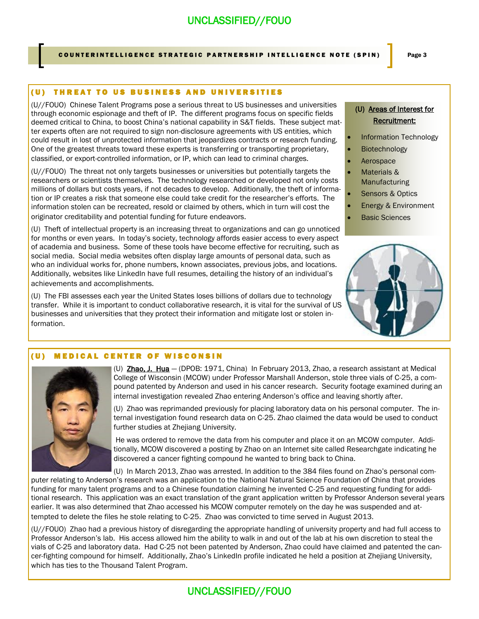## COUNTERINTELLIGENCE STRATEGIC PARTNERSHIP INTELLIGENCE NOTE (SPIN) Page 3

### (U) THREAT TO US BUSINESS AND UNIVERSITIES

(U//FOUO) Chinese Talent Programs pose a serious threat to US businesses and universities through economic espionage and theft of IP. The different programs focus on specific fields deemed critical to China, to boost China's national capability in S&T fields. These subject matter experts often are not required to sign non-disclosure agreements with US entities, which could result in lost of unprotected information that jeopardizes contracts or research funding. One of the greatest threats toward these experts is transferring or transporting proprietary, classified, or export-controlled information, or IP, which can lead to criminal charges.

(U//FOUO) The threat not only targets businesses or universities but potentially targets the researchers or scientists themselves. The technology researched or developed not only costs millions of dollars but costs years, if not decades to develop. Additionally, the theft of information or IP creates a risk that someone else could take credit for the researcher's efforts. The information stolen can be recreated, resold or claimed by others, which in turn will cost the originator creditability and potential funding for future endeavors.

(U) Theft of intellectual property is an increasing threat to organizations and can go unnoticed for months or even years. In today's society, technology affords easier access to every aspect of academia and business. Some of these tools have become effective for recruiting, such as social media. Social media websites often display large amounts of personal data, such as who an individual works for, phone numbers, known associates, previous jobs, and locations. Additionally, websites like LinkedIn have full resumes, detailing the history of an individual's achievements and accomplishments.

(U) The FBI assesses each year the United States loses billions of dollars due to technology transfer. While it is important to conduct collaborative research, it is vital for the survival of US businesses and universities that they protect their information and mitigate lost or stolen information.

## (U) Areas of Interest for Recruitment:

- Information Technology
- Biotechnology
- Aerospace
- Materials & Manufacturing
- Sensors & Optics
- Energy & Environment
- Basic Sciences



### (U) MEDICAL CENTER OF WISCONSIN



(U) Zhao, J. Hua - (DPOB: 1971, China) In February 2013, Zhao, a research assistant at Medical College of Wisconsin (MCOW) under Professor Marshall Anderson, stole three vials of C-25, a compound patented by Anderson and used in his cancer research. Security footage examined during an internal investigation revealed Zhao entering Anderson's office and leaving shortly after.

(U) Zhao was reprimanded previously for placing laboratory data on his personal computer. The internal investigation found research data on C-25. Zhao claimed the data would be used to conduct further studies at Zhejiang University.

He was ordered to remove the data from his computer and place it on an MCOW computer. Additionally, MCOW discovered a posting by Zhao on an Internet site called Researchgate indicating he discovered a cancer fighting compound he wanted to bring back to China.

(U) In March 2013, Zhao was arrested. In addition to the 384 files found on Zhao's personal com-

puter relating to Anderson's research was an application to the National Natural Science Foundation of China that provides funding for many talent programs and to a Chinese foundation claiming he invented C-25 and requesting funding for additional research. This application was an exact translation of the grant application written by Professor Anderson several years earlier. It was also determined that Zhao accessed his MCOW computer remotely on the day he was suspended and attempted to delete the files he stole relating to C-25. Zhao was convicted to time served in August 2013.

(U//FOUO) Zhao had a previous history of disregarding the appropriate handling of university property and had full access to Professor Anderson's lab. His access allowed him the ability to walk in and out of the lab at his own discretion to steal the vials of C-25 and laboratory data. Had C-25 not been patented by Anderson, Zhao could have claimed and patented the cancer-fighting compound for himself. Additionally, Zhao's LinkedIn profile indicated he held a position at Zhejiang University, which has ties to the Thousand Talent Program.

## UNCLASSIFIED//FOUO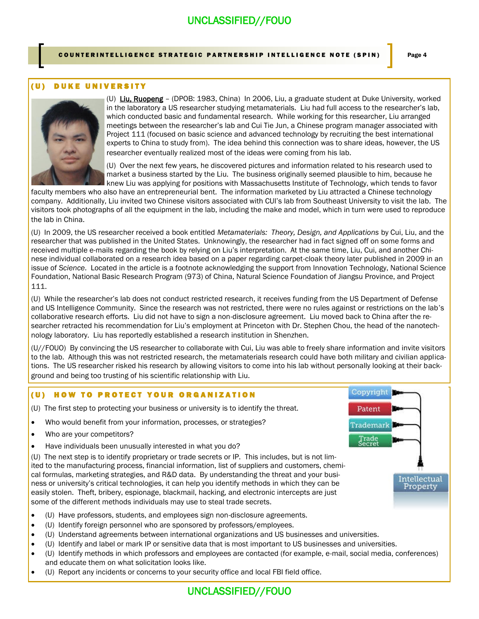COUNTERINTELLIGENCE STRATEGIC PARTNERSHIP INTELLIGENCE NOTE (SPIN) Page 4

### (U) DUKE UNIVERSITY



(U) Liu, Ruopeng – (DPOB: 1983, China) In 2006, Liu, a graduate student at Duke University, worked in the laboratory a US researcher studying metamaterials. Liu had full access to the researcher's lab, which conducted basic and fundamental research. While working for this researcher, Liu arranged meetings between the researcher's lab and Cui Tie Jun, a Chinese program manager associated with Project 111 (focused on basic science and advanced technology by recruiting the best international experts to China to study from). The idea behind this connection was to share ideas, however, the US researcher eventually realized most of the ideas were coming from his lab.

(U) Over the next few years, he discovered pictures and information related to his research used to market a business started by the Liu. The business originally seemed plausible to him, because he knew Liu was applying for positions with Massachusetts Institute of Technology, which tends to favor

faculty members who also have an entrepreneurial bent. The information marketed by Liu attracted a Chinese technology company. Additionally, Liu invited two Chinese visitors associated with CUI's lab from Southeast University to visit the lab. The visitors took photographs of all the equipment in the lab, including the make and model, which in turn were used to reproduce the lab in China.

(U) In 2009, the US researcher received a book entitled *Metamaterials: Theory, Design, and Applications* by Cui, Liu, and the researcher that was published in the United States. Unknowingly, the researcher had in fact signed off on some forms and received multiple e-mails regarding the book by relying on Liu's interpretation. At the same time, Liu, Cui, and another Chinese individual collaborated on a research idea based on a paper regarding carpet-cloak theory later published in 2009 in an issue of *Science*. Located in the article is a footnote acknowledging the support from Innovation Technology, National Science Foundation, National Basic Research Program (973) of China, Natural Science Foundation of Jiangsu Province, and Project 111.

(U) While the researcher's lab does not conduct restricted research, it receives funding from the US Department of Defense and US Intelligence Community. Since the research was not restricted, there were no rules against or restrictions on the lab's collaborative research efforts. Liu did not have to sign a non-disclosure agreement. Liu moved back to China after the researcher retracted his recommendation for Liu's employment at Princeton with Dr. Stephen Chou, the head of the nanotechnology laboratory. Liu has reportedly established a research institution in Shenzhen.

(U//FOUO) By convincing the US researcher to collaborate with Cui, Liu was able to freely share information and invite visitors to the lab. Although this was not restricted research, the metamaterials research could have both military and civilian applications. The US researcher risked his research by allowing visitors to come into his lab without personally looking at their background and being too trusting of his scientific relationship with Liu.

### (U) HOW TO PROTECT YOUR ORGANIZATION

- (U) The first step to protecting your business or university is to identify the threat.
- Who would benefit from your information, processes, or strategies?
- Who are your competitors?
- Have individuals been unusually interested in what you do?

(U) The next step is to identify proprietary or trade secrets or IP. This includes, but is not limited to the manufacturing process, financial information, list of suppliers and customers, chemical formulas, marketing strategies, and R&D data. By understanding the threat and your business or university's critical technologies, it can help you identify methods in which they can be easily stolen. Theft, bribery, espionage, blackmail, hacking, and electronic intercepts are just some of the different methods individuals may use to steal trade secrets.

- (U) Have professors, students, and employees sign non-disclosure agreements.
- (U) Identify foreign personnel who are sponsored by professors/employees.
- (U) Understand agreements between international organizations and US businesses and universities.
- (U) Identify and label or mark IP or sensitive data that is most important to US businesses and universities.
- (U) Identify methods in which professors and employees are contacted (for example, e-mail, social media, conferences) and educate them on what solicitation looks like.
- (U) Report any incidents or concerns to your security office and local FBI field office.



## UNCLASSIFIED//FOUO